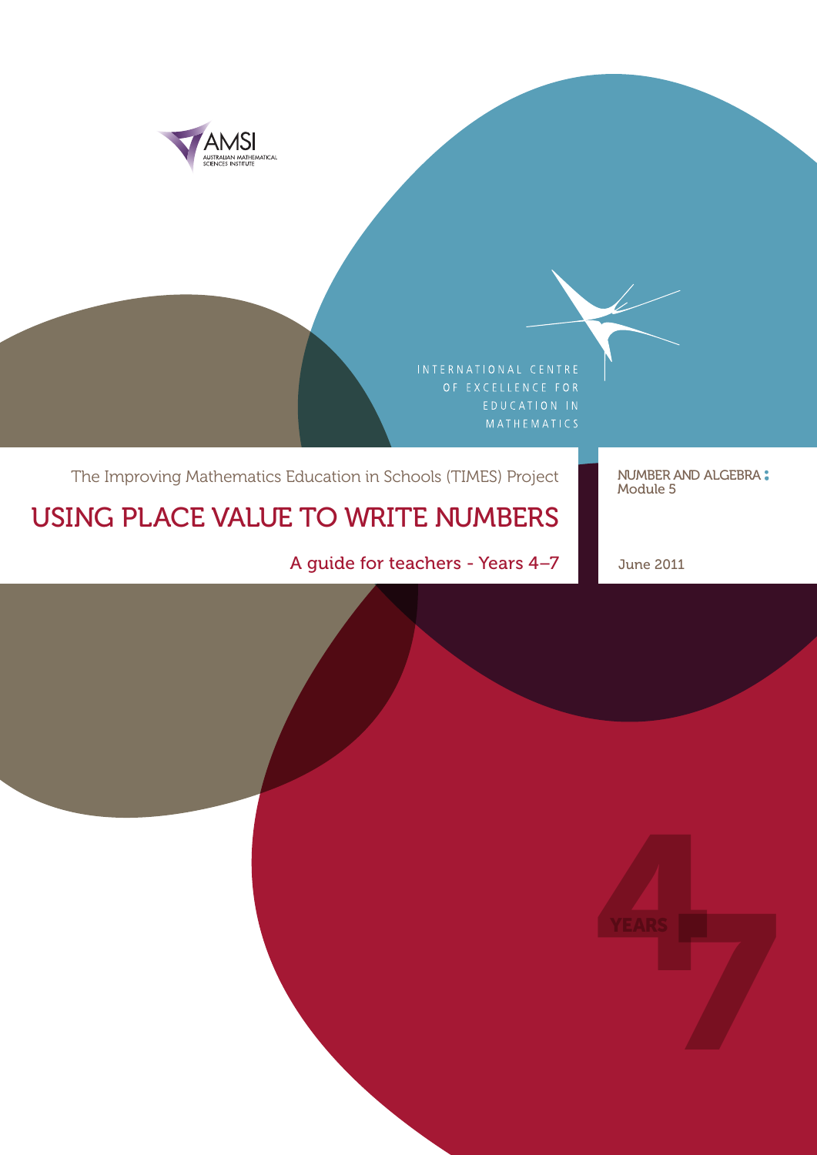

### The Improving Mathematics Education in Schools (TIMES) Project NUMBER AND ALGEBRA:

# USING PLACE VALUE TO WRITE NUMBERS

A guide for teachers - Years 4-7 June 2011

Module 5

 $\overline{\mathscr{C}}$ 

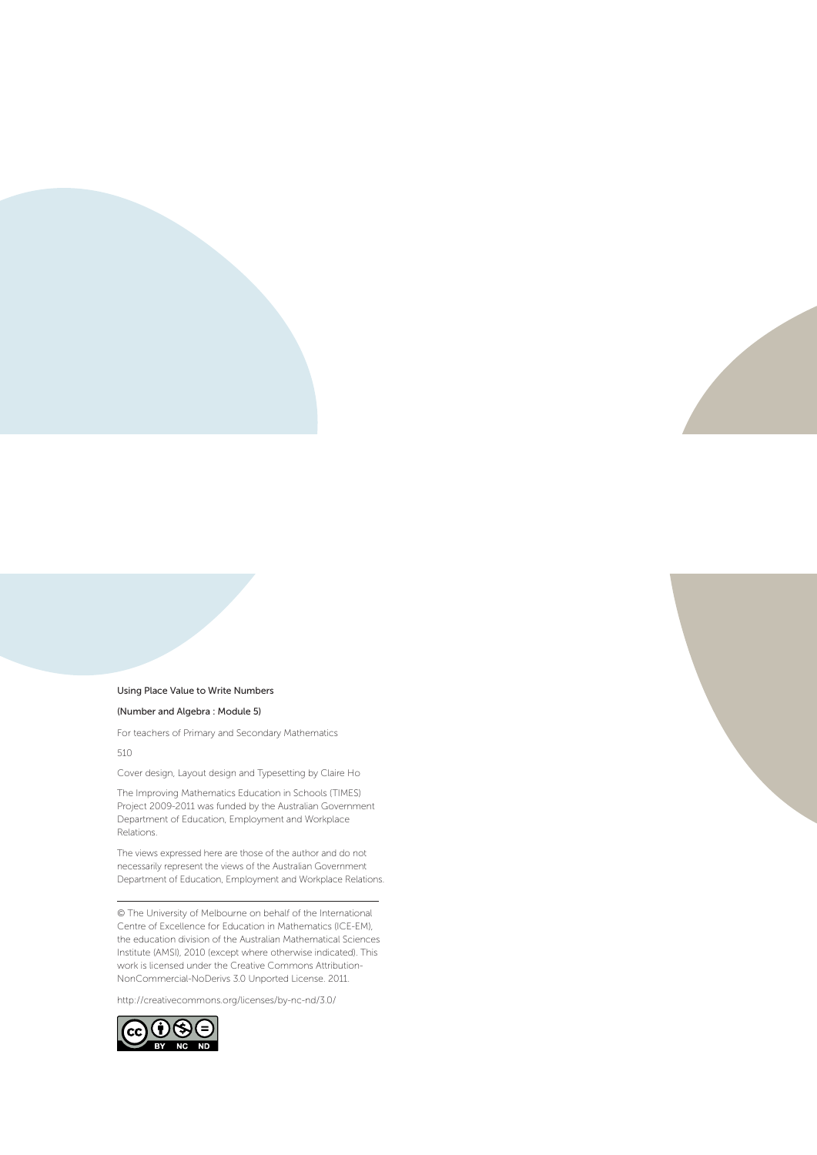#### Using Place Value to Write Numbers

#### (Number and Algebra : Module 5)

For teachers of Primary and Secondary Mathematics 510

Cover design, Layout design and Typesetting by Claire Ho

The Improving Mathematics Education in Schools (TIMES) Project 2009‑2011 was funded by the Australian Government Department of Education, Employment and Workplace Relations.

The views expressed here are those of the author and do not necessarily represent the views of the Australian Government Department of Education, Employment and Workplace Relations.

© The University of Melbourne on behalf of the International Centre of Excellence for Education in Mathematics (ICE‑EM), the education division of the Australian Mathematical Sciences Institute (AMSI), 2010 (except where otherwise indicated). This work is licensed under the Creative Commons Attribution-NonCommercial-NoDerivs 3.0 Unported License. 2011.

http://creativecommons.org/licenses/by-nc-nd/3.0/

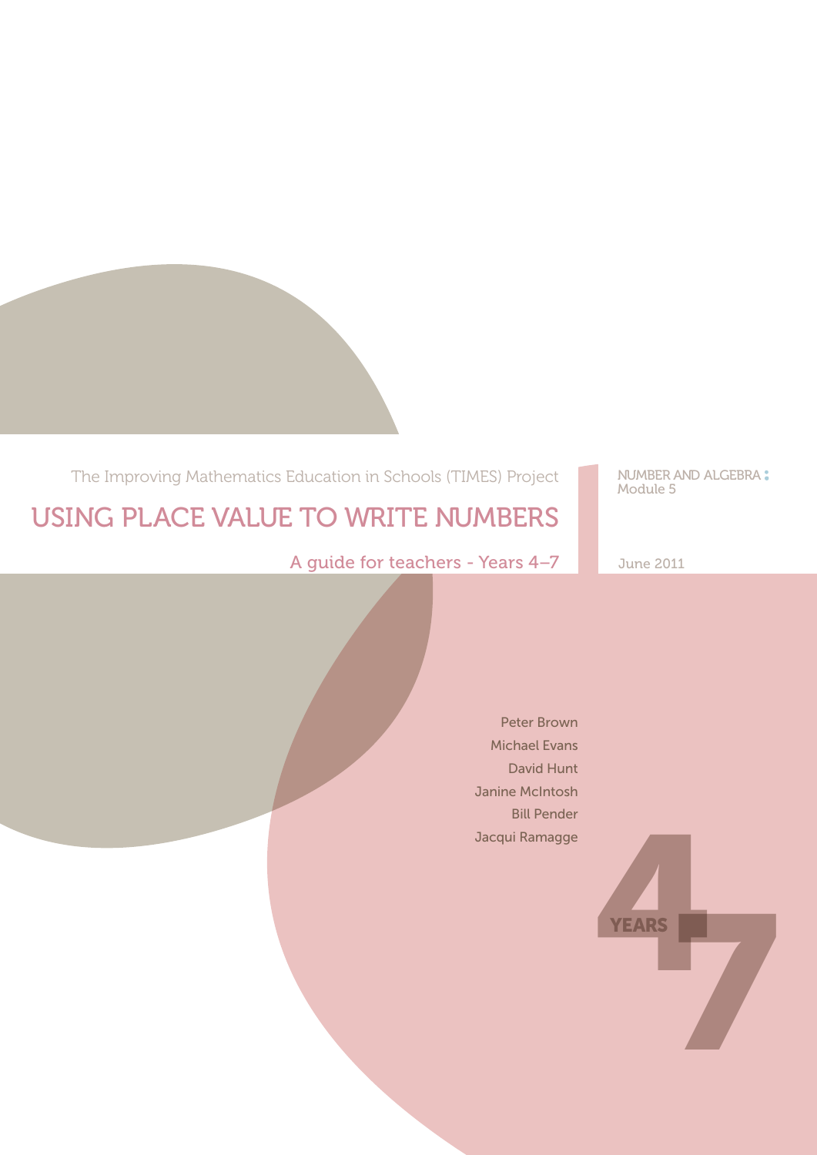The Improving Mathematics Education in Schools (TIMES) Project

NUMBER AND ALGEBRA:<br>Module 5

# USING PLACE VALUE TO WRITE NUMBERS

A guide for teachers - Years 4-7 June 2011

Peter Brown Michael Evans David Hunt Janine McIntosh Bill Pender Jacqui Ramagge

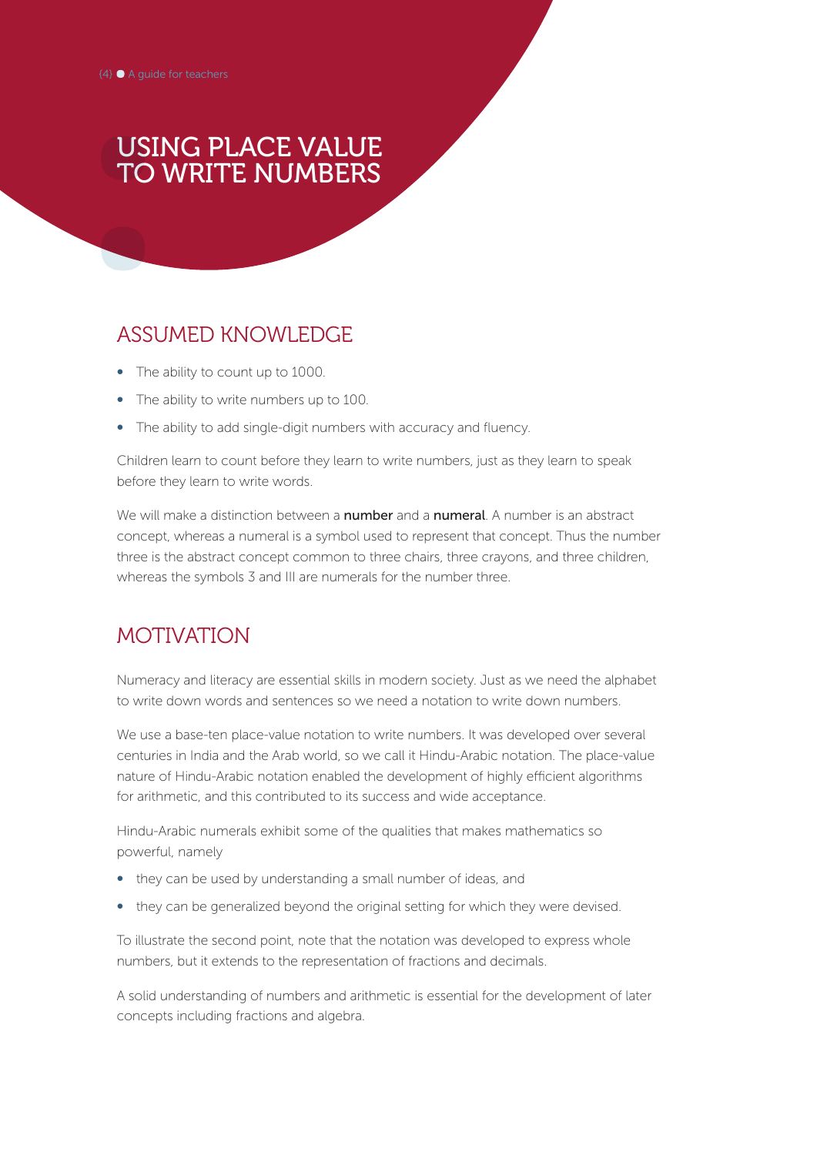## USING PLACE VALUE TO WRITE NUMBERS

### ASSUMED KNOWLEDGE

- The ability to count up to 1000.
- The ability to write numbers up to 100.
- The ability to add single-digit numbers with accuracy and fluency.

Children learn to count before they learn to write numbers, just as they learn to speak before they learn to write words.

We will make a distinction between a **number** and a **numeral**. A number is an abstract concept, whereas a numeral is a symbol used to represent that concept. Thus the number three is the abstract concept common to three chairs, three crayons, and three children, whereas the symbols 3 and III are numerals for the number three.

### MOTIVATION

Numeracy and literacy are essential skills in modern society. Just as we need the alphabet to write down words and sentences so we need a notation to write down numbers.

We use a base-ten place-value notation to write numbers. It was developed over several centuries in India and the Arab world, so we call it Hindu-Arabic notation. The place-value nature of Hindu-Arabic notation enabled the development of highly efficient algorithms for arithmetic, and this contributed to its success and wide acceptance.

Hindu-Arabic numerals exhibit some of the qualities that makes mathematics so powerful, namely

- they can be used by understanding a small number of ideas, and
- they can be generalized beyond the original setting for which they were devised.

To illustrate the second point, note that the notation was developed to express whole numbers, but it extends to the representation of fractions and decimals.

A solid understanding of numbers and arithmetic is essential for the development of later concepts including fractions and algebra.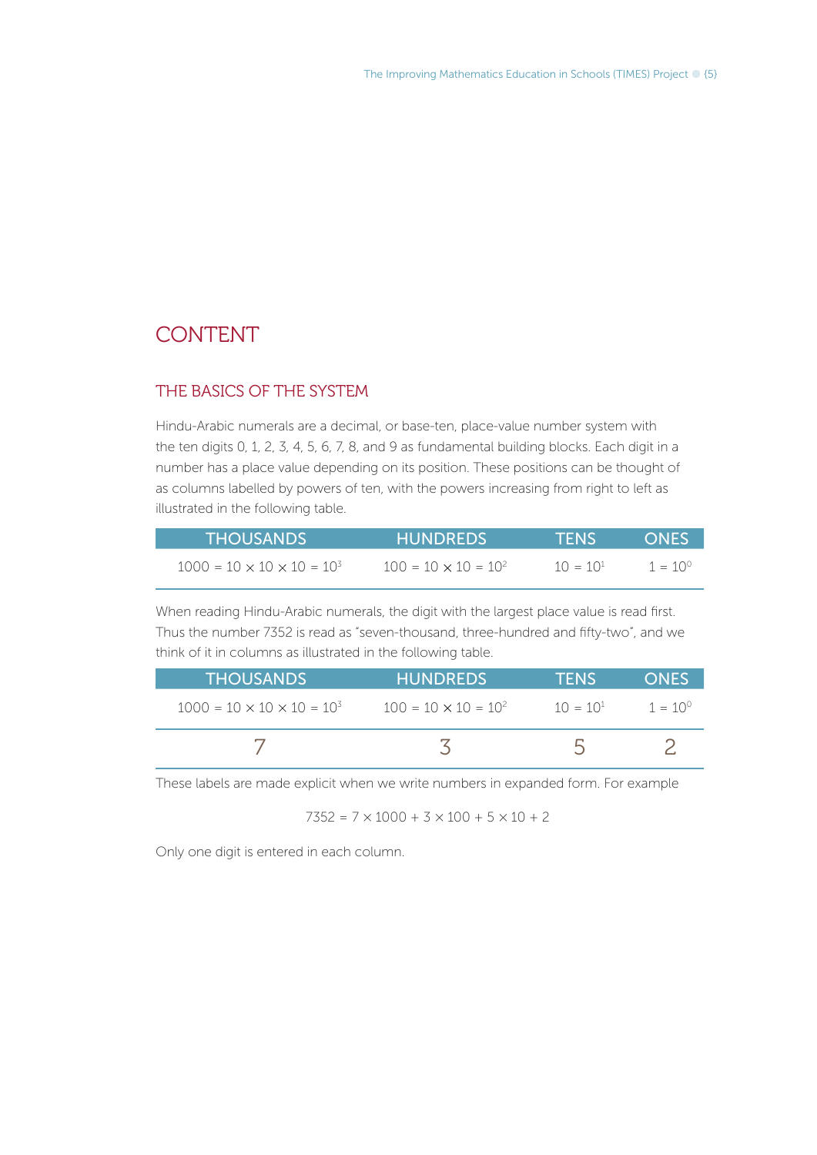### CONTENT

#### THE BASICS OF THE SYSTEM

Hindu-Arabic numerals are a decimal, or base-ten, place-value number system with the ten digits 0, 1, 2, 3, 4, 5, 6, 7, 8, and 9 as fundamental building blocks. Each digit in a number has a place value depending on its position. These positions can be thought of as columns labelled by powers of ten, with the powers increasing from right to left as illustrated in the following table.

| <b>THOUSANDS</b>                         | <b>HUNDREDS</b>               | <b>TENSY</b>  | <b>ONES</b>      |
|------------------------------------------|-------------------------------|---------------|------------------|
| $1000 = 10 \times 10 \times 10 = 10^{3}$ | $100 = 10 \times 10 = 10^{2}$ | $10 = 10^{1}$ | $1 = 10^{\circ}$ |

When reading Hindu-Arabic numerals, the digit with the largest place value is read first. Thus the number 7352 is read as "seven-thousand, three-hundred and fifty-two", and we think of it in columns as illustrated in the following table.

| I THOUSANDS !                            | <b>HUNDREDS</b>             | <b>TFNS</b>   | <b>ONES</b>      |
|------------------------------------------|-----------------------------|---------------|------------------|
| $1000 = 10 \times 10 \times 10 = 10^{3}$ | $100 = 10 \times 10 = 10^2$ | $10 = 10^{1}$ | $1 = 10^{\circ}$ |
|                                          |                             |               |                  |

These labels are made explicit when we write numbers in expanded form. For example

 $7352 = 7 \times 1000 + 3 \times 100 + 5 \times 10 + 2$ 

Only one digit is entered in each column.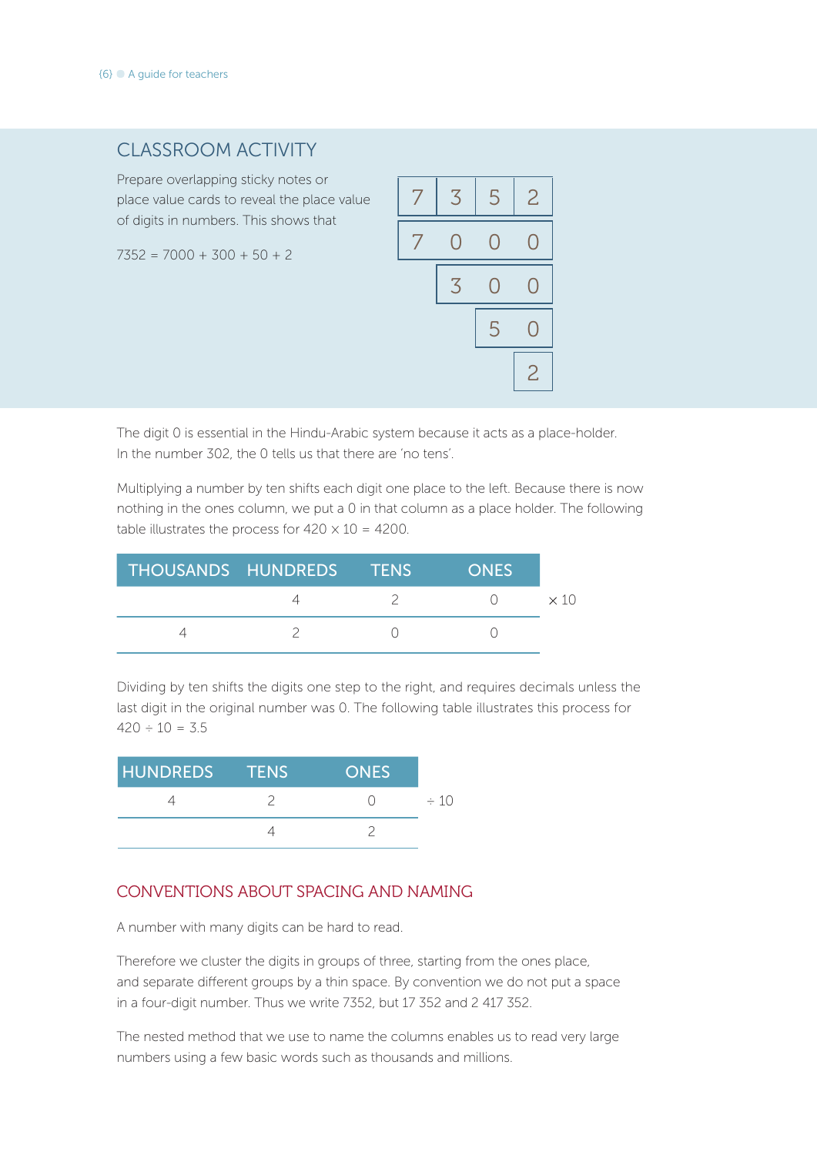### CLASSROOM ACTIVITY

Prepare overlapping sticky notes or place value cards to reveal the place value of digits in numbers. This shows that

 $7352 = 7000 + 300 + 50 + 2$ 

|   | 3 | 5 | $\overline{c}$ |
|---|---|---|----------------|
| 7 | O | 0 |                |
|   | 3 | Ŋ |                |
|   |   | 5 |                |
|   |   |   | $\overline{2}$ |

The digit 0 is essential in the Hindu-Arabic system because it acts as a place-holder. In the number 302, the 0 tells us that there are 'no tens'.

Multiplying a number by ten shifts each digit one place to the left. Because there is now nothing in the ones column, we put a 0 in that column as a place holder. The following table illustrates the process for  $420 \times 10 = 4200$ .

| THOUSANDS HUNDREDS TENS |  | <b>ONES</b> |  |
|-------------------------|--|-------------|--|
|                         |  |             |  |
|                         |  |             |  |

Dividing by ten shifts the digits one step to the right, and requires decimals unless the last digit in the original number was 0. The following table illustrates this process for  $420 \div 10 = 3.5$ 

| HUNDREDS TENS | <b>ONES</b> |           |
|---------------|-------------|-----------|
|               |             | $\div$ 10 |
|               |             |           |

#### CONVENTIONS ABOUT SPACING AND NAMING

A number with many digits can be hard to read.

Therefore we cluster the digits in groups of three, starting from the ones place, and separate different groups by a thin space. By convention we do not put a space in a four-digit number. Thus we write 7352, but 17 352 and 2 417 352.

The nested method that we use to name the columns enables us to read very large numbers using a few basic words such as thousands and millions.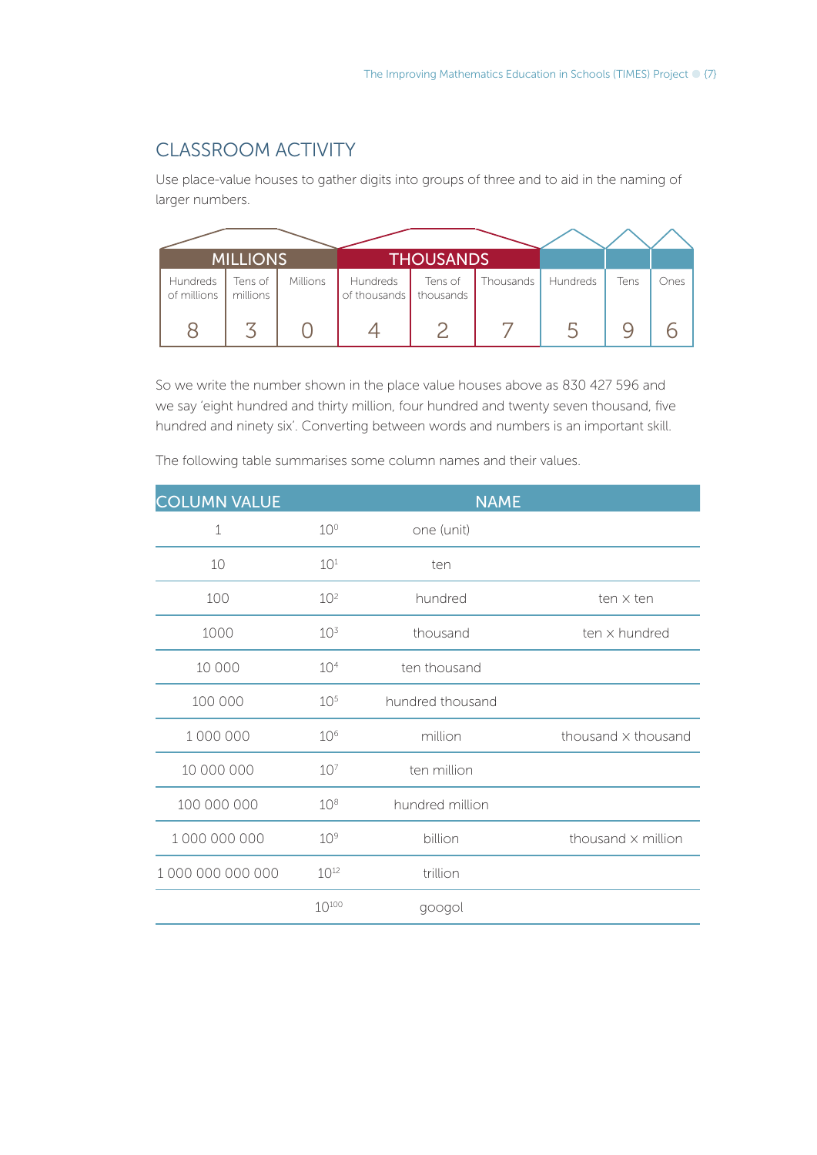### CLASSROOM ACTIVITY

Use place-value houses to gather digits into groups of three and to aid in the naming of larger numbers.

|                         | <b>MILLIONS</b>     |                 |                          | <b>THOUSANDS</b>     |           |          |      |      |
|-------------------------|---------------------|-----------------|--------------------------|----------------------|-----------|----------|------|------|
| Hundreds<br>of millions | Tens of<br>millions | <b>Millions</b> | Hundreds<br>of thousands | Tens of<br>thousands | Thousands | Hundreds | Tens | Ones |
|                         |                     |                 |                          |                      |           |          |      |      |

So we write the number shown in the place value houses above as 830 427 596 and we say 'eight hundred and thirty million, four hundred and twenty seven thousand, five hundred and ninety six'. Converting between words and numbers is an important skill.

The following table summarises some column names and their values.

|                 | <b>NAME</b>      |                           |  |
|-----------------|------------------|---------------------------|--|
| 10 <sup>o</sup> | one (unit)       |                           |  |
| 10 <sup>1</sup> | ten              |                           |  |
| 10 <sup>2</sup> | hundred          | ten x ten                 |  |
| 10 <sup>3</sup> | thousand         | ten x hundred             |  |
| 10 <sup>4</sup> | ten thousand     |                           |  |
| 10 <sup>5</sup> | hundred thousand |                           |  |
| 10 <sup>6</sup> | million          | thousand x thousand       |  |
| 10 <sup>7</sup> | ten million      |                           |  |
| 10 <sup>8</sup> | hundred million  |                           |  |
| 10 <sup>9</sup> | billion          | thousand $\times$ million |  |
| $10^{12}$       | trillion         |                           |  |
| $10^{100}$      | googol           |                           |  |
|                 |                  |                           |  |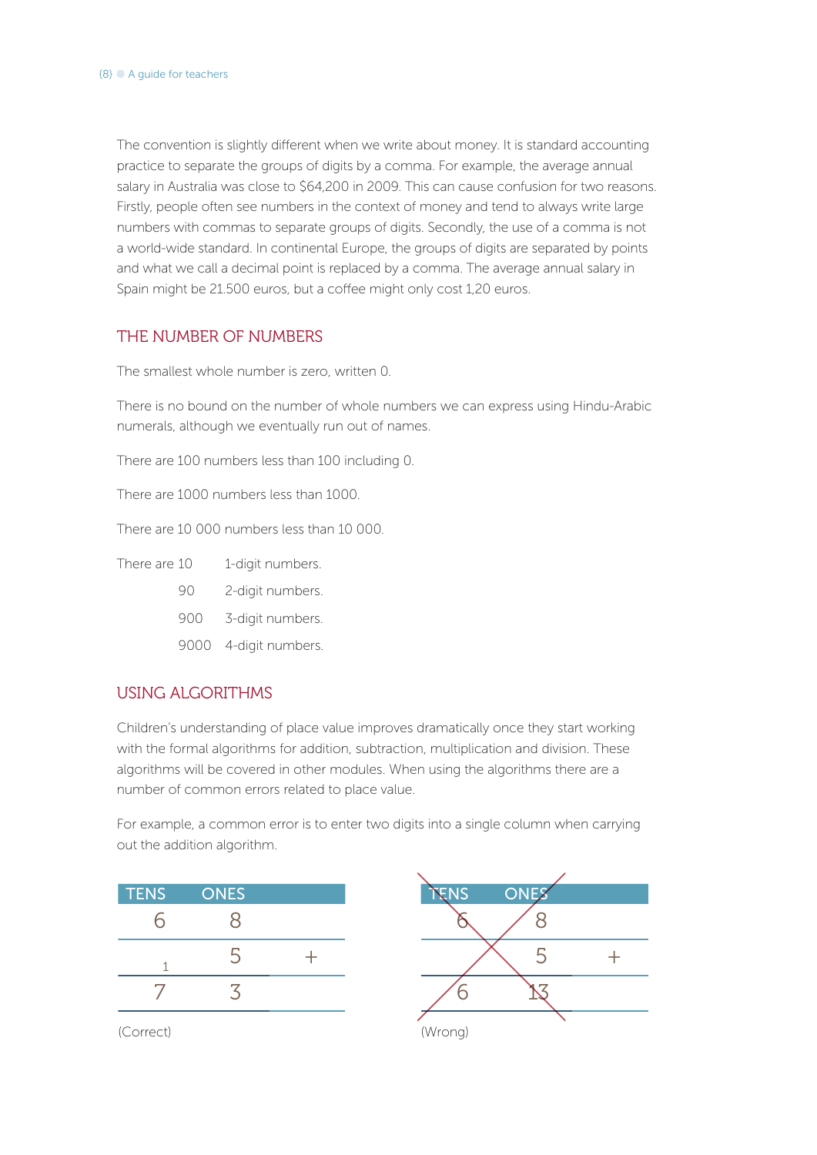The convention is slightly different when we write about money. It is standard accounting practice to separate the groups of digits by a comma. For example, the average annual salary in Australia was close to \$64,200 in 2009. This can cause confusion for two reasons. Firstly, people often see numbers in the context of money and tend to always write large numbers with commas to separate groups of digits. Secondly, the use of a comma is not a world-wide standard. In continental Europe, the groups of digits are separated by points and what we call a decimal point is replaced by a comma. The average annual salary in Spain might be 21.500 euros, but a coffee might only cost 1,20 euros.

#### THE NUMBER OF NUMBERS

The smallest whole number is zero, written 0.

There is no bound on the number of whole numbers we can express using Hindu-Arabic numerals, although we eventually run out of names.

There are 100 numbers less than 100 including 0.

There are 1000 numbers less than 1000.

There are 10 000 numbers less than 10 000.

There are 10 1-digit numbers.

- 90 2-digit numbers.
- 900 3-digit numbers.
- 9000 4-digit numbers.

#### USING ALGORITHMS

Children's understanding of place value improves dramatically once they start working with the formal algorithms for addition, subtraction, multiplication and division. These algorithms will be covered in other modules. When using the algorithms there are a number of common errors related to place value.

For example, a common error is to enter two digits into a single column when carrying out the addition algorithm.

| <b>TENS</b> | <b>ONES</b> | TENS<br><b>ONES</b> |
|-------------|-------------|---------------------|
|             |             |                     |
|             |             |                     |
|             |             |                     |

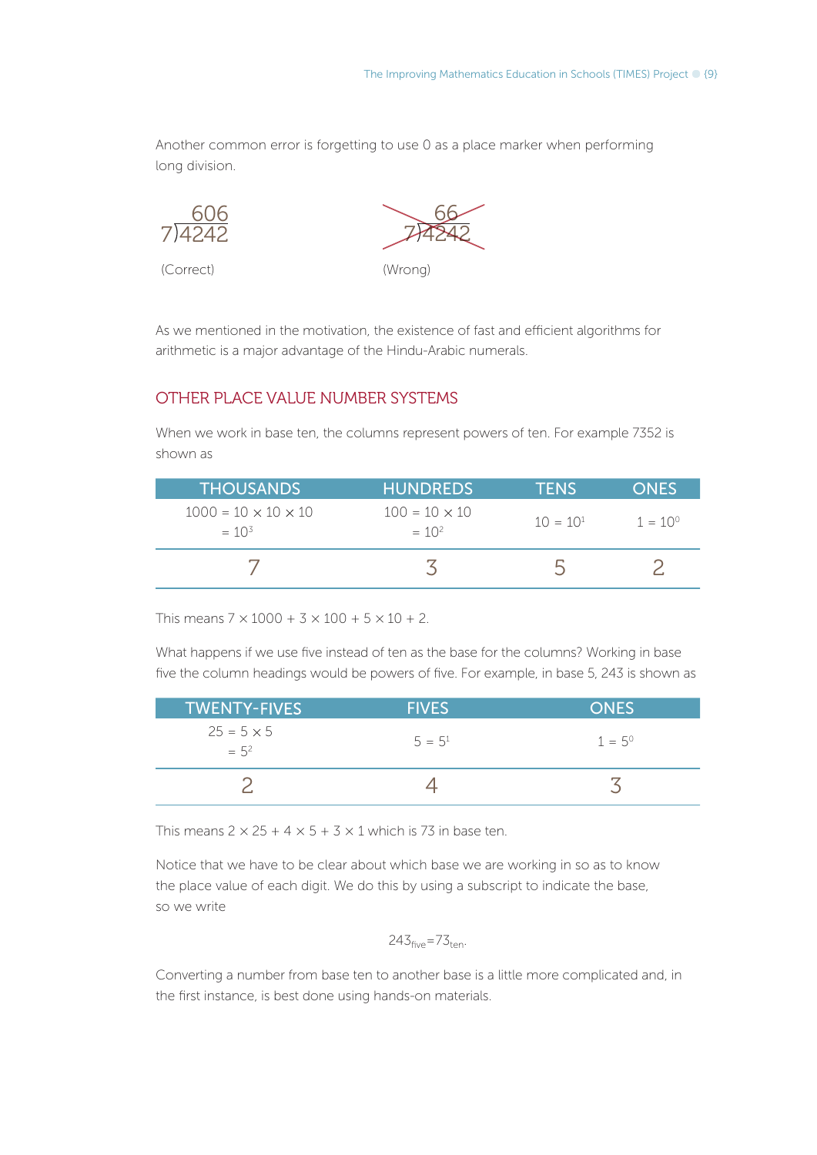Another common error is forgetting to use 0 as a place marker when performing long division.

$$
\frac{606}{7)4242}
$$

(Correct) (Wrong)

7 4242 66

As we mentioned in the motivation, the existence of fast and efficient algorithms for arithmetic is a major advantage of the Hindu-Arabic numerals.

#### OTHER PLACE VALUE NUMBER SYSTEMS

When we work in base ten, the columns represent powers of ten. For example 7352 is shown as

| <b>THOUSANDS</b>                              | <b>HUNDREDS</b>                    | <b>TENS</b> | <b>ONES</b>      |
|-----------------------------------------------|------------------------------------|-------------|------------------|
| $1000 = 10 \times 10 \times 10$<br>$= 10^{3}$ | $100 = 10 \times 10$<br>$= 10^{2}$ | $10 = 101$  | $1 = 10^{\circ}$ |
|                                               |                                    |             |                  |

This means  $7 \times 1000 + 3 \times 100 + 5 \times 10 + 2$ .

What happens if we use five instead of ten as the base for the columns? Working in base five the column headings would be powers of five. For example, in base 5, 243 is shown as

| <b>TWENTY-FIVES</b>          | <b>FIVES</b> | <b>ONES</b>     |
|------------------------------|--------------|-----------------|
| $25 = 5 \times 5$<br>$= 5^2$ | $5 = 5^1$    | $1 = 5^{\circ}$ |
|                              |              |                 |

This means  $2 \times 25 + 4 \times 5 + 3 \times 1$  which is 73 in base ten.

Notice that we have to be clear about which base we are working in so as to know the place value of each digit. We do this by using a subscript to indicate the base, so we write

$$
243_{\text{five}} = 73_{\text{ten}}.
$$

Converting a number from base ten to another base is a little more complicated and, in the first instance, is best done using hands-on materials.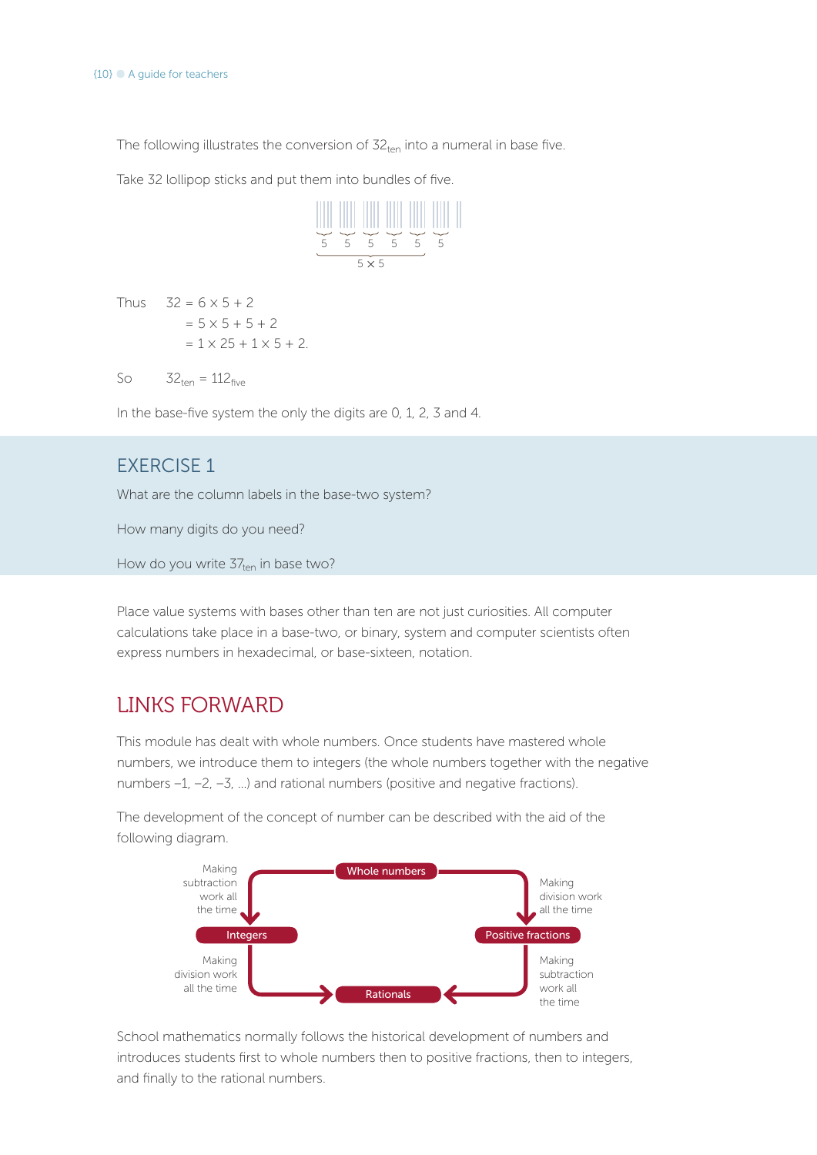The following illustrates the conversion of  $32<sub>ten</sub>$  into a numeral in base five.

Take 32 lollipop sticks and put them into bundles of five.



Thus  $32 = 6 \times 5 + 2$  $= 5 \times 5 + 5 + 2$  $= 1 \times 25 + 1 \times 5 + 2$ .

So  $32_{ten} = 112_{five}$ 

In the base-five system the only the digits are 0, 1, 2, 3 and 4.

### EXERCISE 1

What are the column labels in the base-two system?

How many digits do you need?

How do you write  $37_{ten}$  in base two?

Place value systems with bases other than ten are not just curiosities. All computer calculations take place in a base-two, or binary, system and computer scientists often express numbers in hexadecimal, or base-sixteen, notation.

## LINKS FORWARD

This module has dealt with whole numbers. Once students have mastered whole numbers, we introduce them to integers (the whole numbers together with the negative numbers –1, –2, –3, …) and rational numbers (positive and negative fractions).

The development of the concept of number can be described with the aid of the following diagram.



School mathematics normally follows the historical development of numbers and introduces students first to whole numbers then to positive fractions, then to integers, and finally to the rational numbers.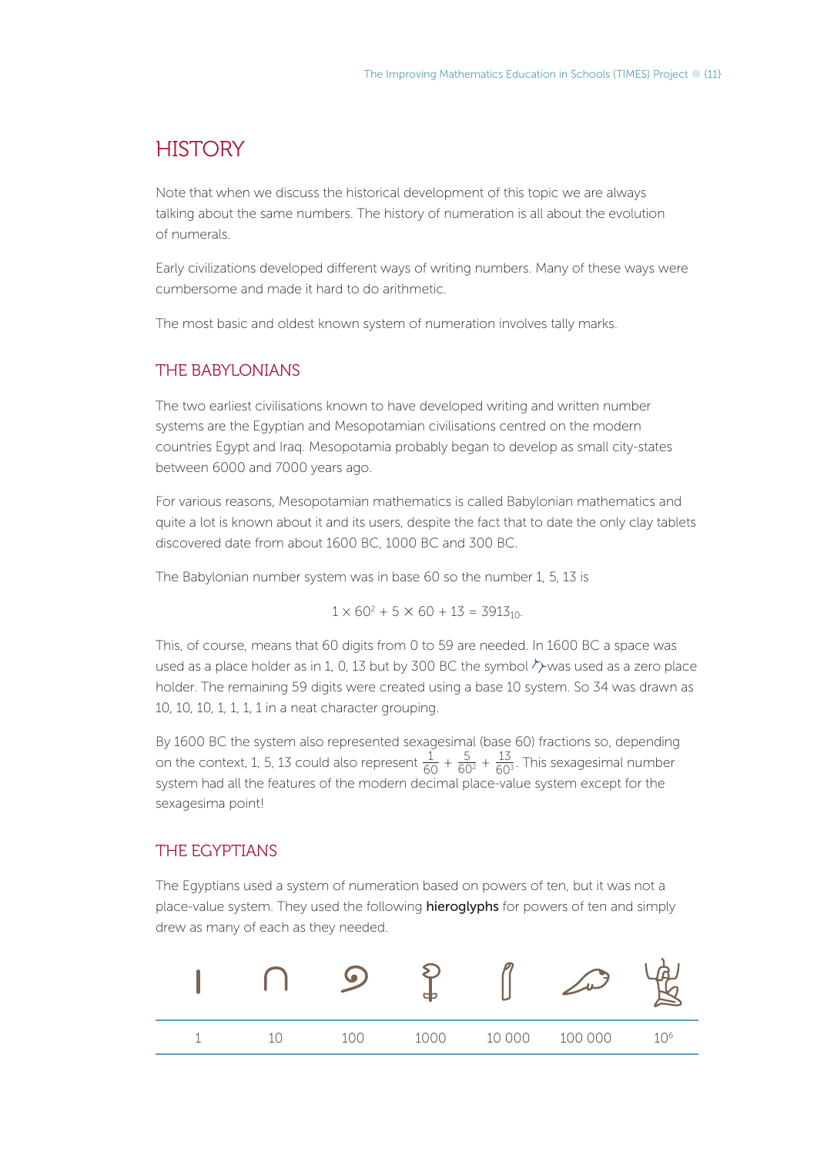### **HISTORY**

Note that when we discuss the historical development of this topic we are always talking about the same numbers. The history of numeration is all about the evolution of numerals.

Early civilizations developed different ways of writing numbers. Many of these ways were cumbersome and made it hard to do arithmetic.

The most basic and oldest known system of numeration involves tally marks.

#### THE BABYLONIANS

The two earliest civilisations known to have developed writing and written number systems are the Egyptian and Mesopotamian civilisations centred on the modern countries Egypt and Iraq. Mesopotamia probably began to develop as small city-states between 6000 and 7000 years ago.

For various reasons, Mesopotamian mathematics is called Babylonian mathematics and quite a lot is known about it and its users, despite the fact that to date the only clay tablets discovered date from about 1600 BC, 1000 BC and 300 BC.

The Babylonian number system was in base 60 so the number 1, 5, 13 is

$$
1 \times 60^2 + 5 \times 60 + 13 = 3913_{10}
$$

This, of course, means that 60 digits from 0 to 59 are needed. In 1600 BC a space was used as a place holder as in 1, 0, 13 but by 300 BC the symbol  $\rightarrow$  was used as a zero place holder. The remaining 59 digits were created using a base 10 system. So 34 was drawn as 10, 10, 10, 1, 1, 1, 1 in a neat character grouping.

By 1600 BC the system also represented sexagesimal (base 60) fractions so, depending on the context, 1, 5, 13 could also represent  $\frac{1}{60} + \frac{5}{60^2} + \frac{13}{60^3}$ . This sexagesimal number system had all the features of the modern decimal place-value system except for the sexagesima point!

#### THE EGYPTIANS

The Egyptians used a system of numeration based on powers of ten, but it was not a place-value system. They used the following hieroglyphs for powers of ten and simply drew as many of each as they needed.

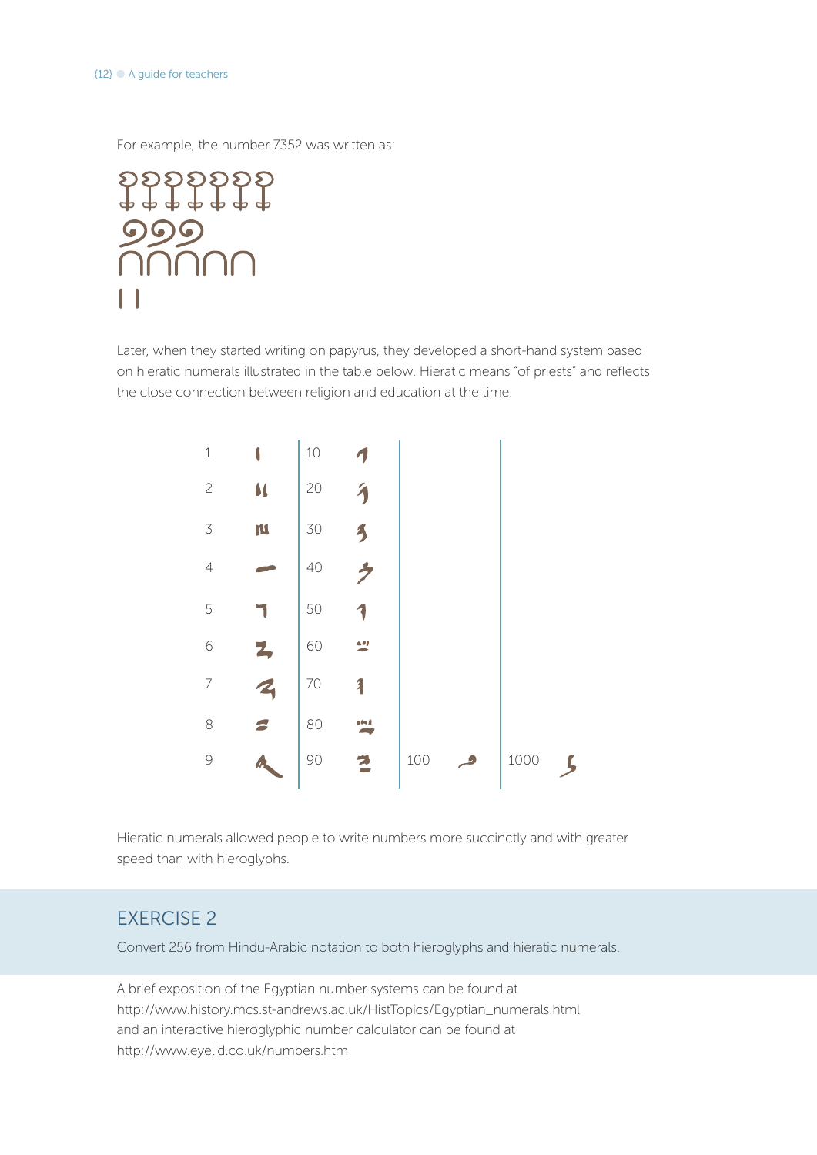For example, the number 7352 was written as:

\$\$\$\$\$\$\$<br>\$\$\$\$\$\$\$ 999<br>NNN

Later, when they started writing on papyrus, they developed a short-hand system based on hieratic numerals illustrated in the table below. Hieratic means "of priests" and reflects the close connection between religion and education at the time.



Hieratic numerals allowed people to write numbers more succinctly and with greater speed than with hieroglyphs.

### EXERCISE 2

Convert 256 from Hindu-Arabic notation to both hieroglyphs and hieratic numerals.

A brief exposition of the Egyptian number systems can be found at http://www.history.mcs.st-andrews.ac.uk/HistTopics/Egyptian\_numerals.html and an interactive hieroglyphic number calculator can be found at http://www.eyelid.co.uk/numbers.htm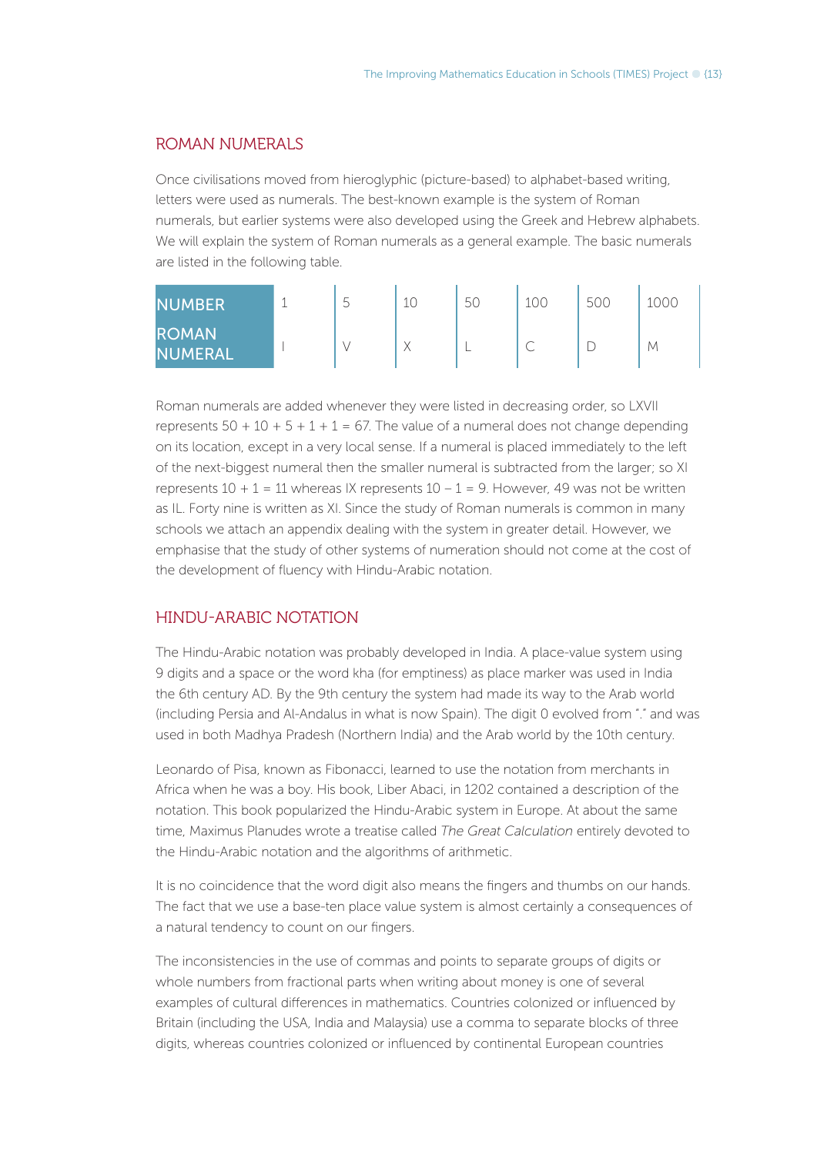#### ROMAN NUMERALS

Once civilisations moved from hieroglyphic (picture-based) to alphabet-based writing, letters were used as numerals. The best-known example is the system of Roman numerals, but earlier systems were also developed using the Greek and Hebrew alphabets. We will explain the system of Roman numerals as a general example. The basic numerals are listed in the following table.

| <b>NUMBER</b>                  | 5 | 10 | 5C | 100 | 50C | looc |
|--------------------------------|---|----|----|-----|-----|------|
| <b>ROMAN</b><br><b>NUMERAL</b> |   |    |    | ◡   |     | М    |

Roman numerals are added whenever they were listed in decreasing order, so LXVII represents  $50 + 10 + 5 + 1 + 1 = 67$ . The value of a numeral does not change depending on its location, except in a very local sense. If a numeral is placed immediately to the left of the next-biggest numeral then the smaller numeral is subtracted from the larger; so XI represents  $10 + 1 = 11$  whereas IX represents  $10 - 1 = 9$ . However, 49 was not be written as IL. Forty nine is written as XI. Since the study of Roman numerals is common in many schools we attach an appendix dealing with the system in greater detail. However, we emphasise that the study of other systems of numeration should not come at the cost of the development of fluency with Hindu-Arabic notation.

#### HINDU-ARABIC NOTATION

The Hindu-Arabic notation was probably developed in India. A place-value system using 9 digits and a space or the word kha (for emptiness) as place marker was used in India the 6th century AD. By the 9th century the system had made its way to the Arab world (including Persia and Al-Andalus in what is now Spain). The digit 0 evolved from "." and was used in both Madhya Pradesh (Northern India) and the Arab world by the 10th century.

Leonardo of Pisa, known as Fibonacci, learned to use the notation from merchants in Africa when he was a boy. His book, Liber Abaci, in 1202 contained a description of the notation. This book popularized the Hindu-Arabic system in Europe. At about the same time, Maximus Planudes wrote a treatise called *The Great Calculation* entirely devoted to the Hindu-Arabic notation and the algorithms of arithmetic.

It is no coincidence that the word digit also means the fingers and thumbs on our hands. The fact that we use a base-ten place value system is almost certainly a consequences of a natural tendency to count on our fingers.

The inconsistencies in the use of commas and points to separate groups of digits or whole numbers from fractional parts when writing about money is one of several examples of cultural differences in mathematics. Countries colonized or influenced by Britain (including the USA, India and Malaysia) use a comma to separate blocks of three digits, whereas countries colonized or influenced by continental European countries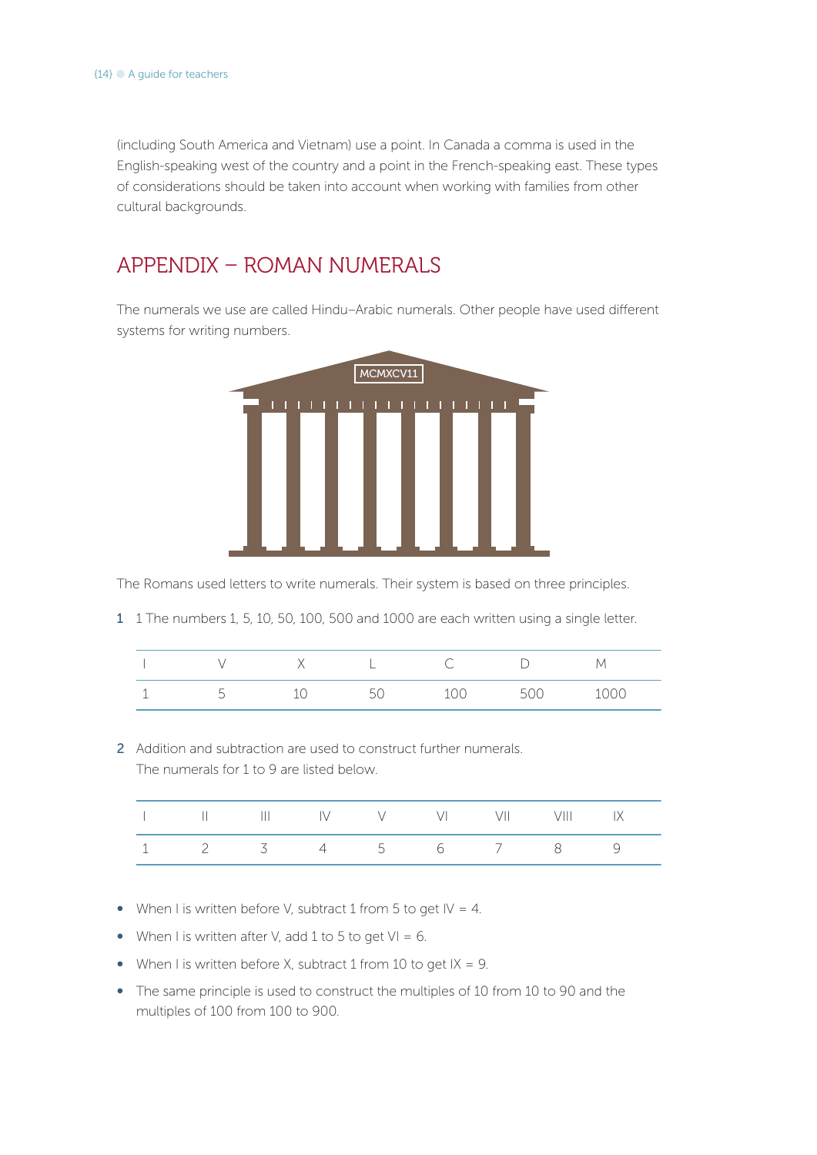(including South America and Vietnam) use a point. In Canada a comma is used in the English-speaking west of the country and a point in the French-speaking east. These types of considerations should be taken into account when working with families from other cultural backgrounds.

## APPENDIX – ROMAN NUMERALS

The numerals we use are called Hindu–Arabic numerals. Other people have used different systems for writing numbers.



The Romans used letters to write numerals. Their system is based on three principles.

1 1 The numbers 1, 5, 10, 50, 100, 500 and 1000 are each written using a single letter.

|   |        |        | V |
|---|--------|--------|---|
| ı | $\sim$ | $\sim$ |   |

2 Addition and subtraction are used to construct further numerals. The numerals for 1 to 9 are listed below.

|  |               | V VI D      |  |  |
|--|---------------|-------------|--|--|
|  | $\frac{4}{5}$ | $6\qquad 7$ |  |  |

- When I is written before V, subtract 1 from 5 to get  $|V = 4$ .
- When I is written after V, add 1 to 5 to get  $VI = 6$ .
- When I is written before X, subtract 1 from 10 to get  $IX = 9$ .
- The same principle is used to construct the multiples of 10 from 10 to 90 and the multiples of 100 from 100 to 900.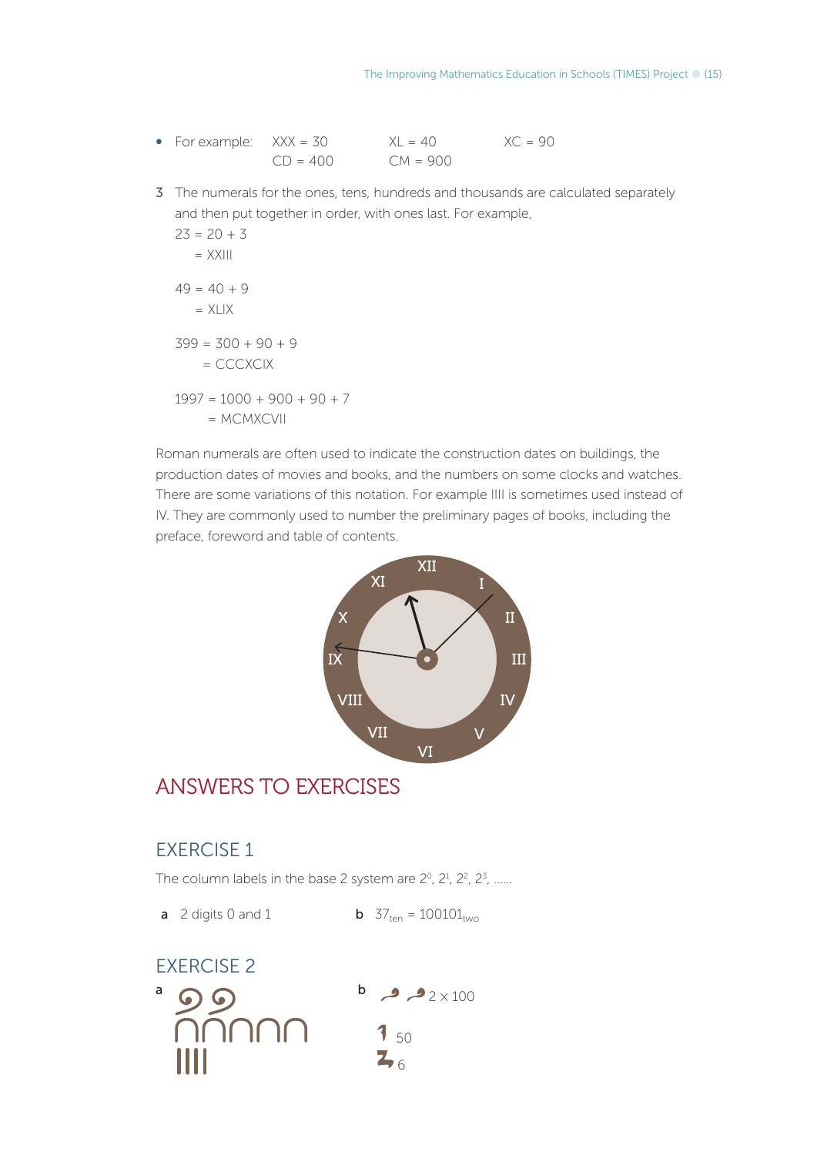- For example:  $XXX = 30$   $XL = 40$   $XC = 90$  $CD = 400$   $CM = 900$
- 3 The numerals for the ones, tens, hundreds and thousands are calculated separately and then put together in order, with ones last. For example,

$$
23 = 20 + 3
$$
  
= XXIII  

$$
49 = 40 + 9
$$
  
= XLIX  

$$
399 = 300 + 90 + 9
$$
  
= CCCXCIX  

$$
1997 = 1000 + 900 + 90 + 7
$$
  
= MCMXCVII

Roman numerals are often used to indicate the construction dates on buildings, the production dates of movies and books, and the numbers on some clocks and watches. There are some variations of this notation. For example IIII is sometimes used instead of IV. They are commonly used to number the preliminary pages of books, including the preface, foreword and table of contents.



### ANSWERS TO EXERCISES

#### EXERCISE 1

The column labels in the base 2 system are  $2^0$ ,  $2^1$ ,  $2^2$ ,  $2^3$ , ......

**a** 2 digits 0 and 1 **b**  $37_{ten} = 100101_{two}$